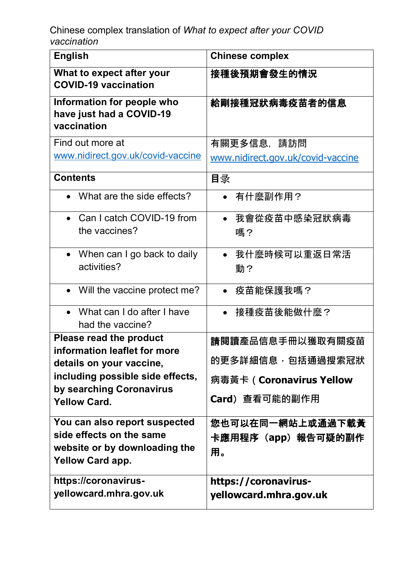| <b>English</b>                                                        | <b>Chinese complex</b>            |
|-----------------------------------------------------------------------|-----------------------------------|
| What to expect after your<br><b>COVID-19 vaccination</b>              | 接種後預期會發生的情況                       |
| Information for people who<br>have just had a COVID-19<br>vaccination | 給剛接種冠狀病毒疫苗者的信息                    |
| Find out more at                                                      | 有關更多信息,請訪問                        |
| www.nidirect.gov.uk/covid-vaccine                                     | www.nidirect.gov.uk/covid-vaccine |
| <b>Contents</b>                                                       | 目录                                |
| What are the side effects?                                            | 有什麼副作用?<br>$\bullet$              |
| Can I catch COVID-19 from                                             | 我會從疫苗中感染冠狀病毒                      |
| the vaccines?                                                         | 嗎?                                |
| • When can I go back to daily                                         | 我什麼時候可以重返日常活<br>$\bullet$         |
| activities?                                                           | 動?                                |
| • Will the vaccine protect me?                                        | 疫苗能保護我嗎?<br>$\bullet$             |
| What can I do after I have                                            | 接種疫苗後能做什麼?<br>$\bullet$           |
| had the vaccine?<br>Please read the product                           |                                   |
| information leaflet for more                                          | 請閱讀產品信息手冊以獲取有關疫苗                  |
| details on your vaccine,                                              | 的更多詳細信息·包括通過搜索冠狀                  |
| including possible side effects,                                      | 病毒黃卡 ( Coronavirus Yellow         |
| by searching Coronavirus<br><b>Yellow Card.</b>                       | <b>Card</b> ) 查看可能的副作用            |
| You can also report suspected                                         | 您也可以在同一網站上或通過下載黃                  |
| side effects on the same<br>website or by downloading the             | 卡應用程序(app)報告可疑的副作                 |
| <b>Yellow Card app.</b>                                               | 用。                                |
| https://coronavirus-                                                  | https://coronavirus-              |
| yellowcard.mhra.gov.uk                                                | yellowcard.mhra.gov.uk            |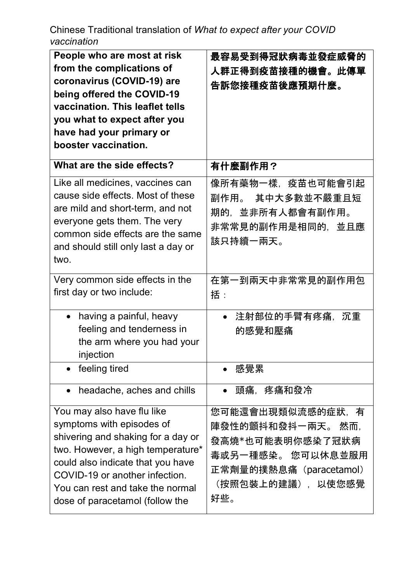| People who are most at risk<br>from the complications of<br>coronavirus (COVID-19) are<br>being offered the COVID-19<br>vaccination. This leaflet tells<br>you what to expect after you<br>have had your primary or<br>booster vaccination.                                      | 最容易受到得冠狀病毒並發症威脅的<br>人群正得到疫苗接種的機會。此傳單<br>告訴您接種疫苗後應預期什麼。                                                                              |
|----------------------------------------------------------------------------------------------------------------------------------------------------------------------------------------------------------------------------------------------------------------------------------|-------------------------------------------------------------------------------------------------------------------------------------|
| What are the side effects?                                                                                                                                                                                                                                                       | 有什麼副作用?                                                                                                                             |
| Like all medicines, vaccines can<br>cause side effects. Most of these<br>are mild and short-term, and not<br>everyone gets them. The very<br>common side effects are the same<br>and should still only last a day or<br>two.                                                     | 像所有藥物一樣,疫苗也可能會引起<br>副作用。 其中大多數並不嚴重且短<br>期的,並非所有人都會有副作用。<br>非常常見的副作用是相同的,並且應<br>該只持續一兩天。                                             |
| Very common side effects in the<br>first day or two include:                                                                                                                                                                                                                     | 在第一到兩天中非常常見的副作用包<br>括:                                                                                                              |
| having a painful, heavy<br>$\bullet$<br>feeling and tenderness in<br>the arm where you had your<br>injection                                                                                                                                                                     | 注射部位的手臂有疼痛,<br>沉重<br>$\bullet$<br>的感覺和壓痛                                                                                            |
| feeling tired                                                                                                                                                                                                                                                                    | 感覺累                                                                                                                                 |
| headache, aches and chills                                                                                                                                                                                                                                                       | 疼痛和發冷<br>頭痛.                                                                                                                        |
| You may also have flu like<br>symptoms with episodes of<br>shivering and shaking for a day or<br>two. However, a high temperature*<br>could also indicate that you have<br>COVID-19 or another infection.<br>You can rest and take the normal<br>dose of paracetamol (follow the | 您可能還會出現類似流感的症狀,有<br>陣發性的顫抖和發抖一兩天。 然而.<br>發高燒*也可能表明你感染了冠狀病<br>毒或另一種感染。 您可以休息並服用<br>正常劑量的撲熱息痛(paracetamol)<br>(按照包裝上的建議),以使您感覺<br>好些。 |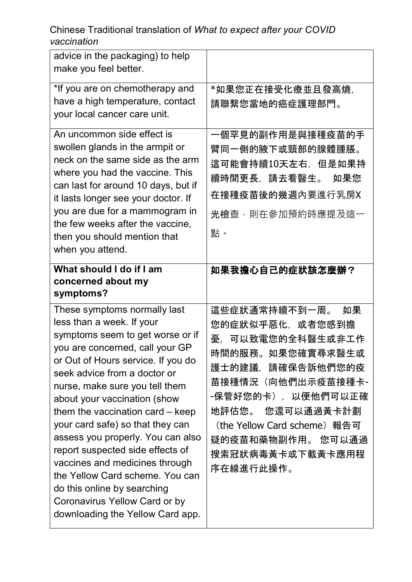| advice in the packaging) to help<br>make you feel better.                                                                                                                                                                                                                                                                                                                                                                                                                                                                                                                                          |                                                                                                                                                                                                                                                         |
|----------------------------------------------------------------------------------------------------------------------------------------------------------------------------------------------------------------------------------------------------------------------------------------------------------------------------------------------------------------------------------------------------------------------------------------------------------------------------------------------------------------------------------------------------------------------------------------------------|---------------------------------------------------------------------------------------------------------------------------------------------------------------------------------------------------------------------------------------------------------|
| *If you are on chemotherapy and<br>have a high temperature, contact<br>your local cancer care unit.                                                                                                                                                                                                                                                                                                                                                                                                                                                                                                | *如果您正在接受化療並且發高燒,<br>請聯繫您當地的癌症護理部門。                                                                                                                                                                                                                      |
| An uncommon side effect is<br>swollen glands in the armpit or<br>neck on the same side as the arm<br>where you had the vaccine. This<br>can last for around 10 days, but if<br>it lasts longer see your doctor. If<br>you are due for a mammogram in<br>the few weeks after the vaccine,<br>then you should mention that<br>when you attend.                                                                                                                                                                                                                                                       | 一個罕見的副作用是與接種疫苗的手<br>臂同一側的腋下或頸部的腺體腫脹。<br>這可能會持續10天左右,但是如果持<br>續時間更長,請去看醫生。<br>如果您<br>在接種疫苗後的幾週內要進行乳房X<br><b>光檢</b> 查,則在參加預約時應提及這一<br>點。                                                                                                                  |
| What should I do if I am<br>concerned about my<br>symptoms?                                                                                                                                                                                                                                                                                                                                                                                                                                                                                                                                        | 如果我擔心自己的症狀該怎麼辦?                                                                                                                                                                                                                                         |
| These symptoms normally last<br>less than a week. If your<br>symptoms seem to get worse or if<br>you are concerned, call your GP<br>or Out of Hours service. If you do<br>seek advice from a doctor or<br>nurse, make sure you tell them<br>about your vaccination (show<br>them the vaccination card – keep<br>your card safe) so that they can<br>assess you properly. You can also<br>report suspected side effects of<br>vaccines and medicines through<br>the Yellow Card scheme. You can<br>do this online by searching<br>Coronavirus Yellow Card or by<br>downloading the Yellow Card app. | 這些症狀通常持續不到一周。<br>如果<br>您的症狀似乎惡化,或者您感到擔<br>憂,可以致電您的全科醫生或非工作<br>時間的服務。如果您確實尋求醫生或<br>護士的建議,請確保告訴他們您的疫<br>苗接種情況 (向他們出示疫苗接種卡-<br>-保管好您的卡),以便他們可以正確<br>地評估您。 您還可以通過黃卡計劃<br>(the Yellow Card scheme) 報告可<br>疑的疫苗和藥物副作用。 您可以通過<br>搜索冠狀病毒黃卡或下載黃卡應用程<br>序在線進行此操作。 |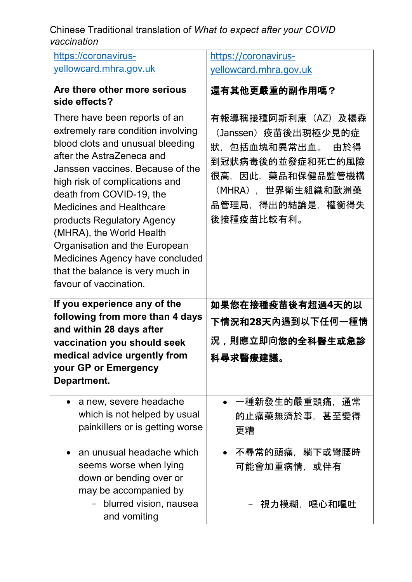| https://coronavirus-                                                | https://coronavirus-       |
|---------------------------------------------------------------------|----------------------------|
| yellowcard.mhra.gov.uk                                              | yellowcard.mhra.gov.uk     |
| Are there other more serious                                        |                            |
| side effects?                                                       | 還有其他更嚴重的副作用嗎?              |
|                                                                     |                            |
| There have been reports of an<br>extremely rare condition involving | 有報導稱接種阿斯利康(AZ)及楊森          |
| blood clots and unusual bleeding                                    | (Janssen)疫苗後出現極少見的症        |
| after the AstraZeneca and                                           | 狀,包括血塊和異常出血。<br>由於得        |
| Janssen vaccines. Because of the                                    | 到冠狀病毒後的並發症和死亡的風險           |
| high risk of complications and                                      | 很高,因此,藥品和保健品監管機構           |
| death from COVID-19, the                                            | (MHRA),世界衛生組織和歐洲藥          |
| <b>Medicines and Healthcare</b>                                     | 品管理局,得出的結論是,權衡得失           |
| products Regulatory Agency                                          | 後接種疫苗比較有利。                 |
| (MHRA), the World Health<br>Organisation and the European           |                            |
| Medicines Agency have concluded                                     |                            |
| that the balance is very much in                                    |                            |
| favour of vaccination.                                              |                            |
|                                                                     |                            |
|                                                                     |                            |
| If you experience any of the                                        | 如果您在接種疫苗後有超過4天的以           |
| following from more than 4 days                                     | 下情況和28天內遇到以下任何一種情          |
| and within 28 days after<br>vaccination you should seek             | 況,則應立即向您的全科醫生或急診           |
| medical advice urgently from                                        |                            |
| your GP or Emergency                                                | 科尋求醫療建議。                   |
| Department.                                                         |                            |
| a new, severe headache                                              | 一種新發生的嚴重頭痛,通常              |
| which is not helped by usual                                        | 的止痛藥無濟於事,甚至變得              |
| painkillers or is getting worse                                     | 更糟                         |
|                                                                     |                            |
| an unusual headache which                                           | 不尋常的頭痛,躺下或彎腰時<br>$\bullet$ |
| seems worse when lying                                              | 可能會加重病情,或伴有                |
| down or bending over or                                             |                            |
| may be accompanied by<br>blurred vision, nausea<br>$-$              | - 視力模糊,噁心和嘔吐               |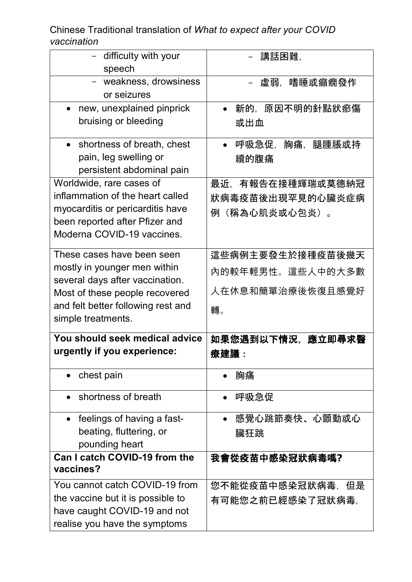| - difficulty with your                  | 講話困難,                |
|-----------------------------------------|----------------------|
| speech                                  |                      |
| - weakness, drowsiness<br>or seizures   | 嗜睡或癲癇發作<br>虛弱.       |
| new, unexplained pinprick               | 新的,原因不明的針點狀瘀傷        |
| bruising or bleeding                    | 或出血                  |
| shortness of breath, chest<br>$\bullet$ | 呼吸急促,胸痛,腿腫脹或持        |
| pain, leg swelling or                   | 續的腹痛                 |
| persistent abdominal pain               |                      |
| Worldwide, rare cases of                | 最近,有報告在接種輝瑞或莫德納冠     |
| inflammation of the heart called        | 狀病毒疫苗後出現罕見的心臟炎症病     |
| myocarditis or pericarditis have        | (稱為心肌炎或心包炎)。<br>例    |
| been reported after Pfizer and          |                      |
| Moderna COVID-19 vaccines.              |                      |
| These cases have been seen              | 這些病例主要發生於接種疫苗後幾天     |
| mostly in younger men within            | 內的較年輕男性。這些人中的大多數     |
| several days after vaccination.         |                      |
| Most of these people recovered          | 人在休息和簡單治療後恢復且感覺好     |
| and felt better following rest and      | 轉。                   |
| simple treatments.                      |                      |
| You should seek medical advice          | 如果您遇到以下情況,應立即尋求醫     |
| urgently if you experience:             | 療建議 :                |
| chest pain                              | 胸痛                   |
| shortness of breath                     | 呼吸急促                 |
| feelings of having a fast-<br>$\bullet$ | 感覺心跳節奏快、心顫動或心        |
| beating, fluttering, or                 | 臟狂跳                  |
| pounding heart                          |                      |
| Can I catch COVID-19 from the           | 我會從疫苗中感染冠狀病毒嗎?       |
| vaccines?                               |                      |
| You cannot catch COVID-19 from          | 您不能從疫苗中感染冠狀病毒,<br>但是 |
| the vaccine but it is possible to       | 有可能您之前已經感染了冠狀病毒,     |
| have caught COVID-19 and not            |                      |
| realise you have the symptoms           |                      |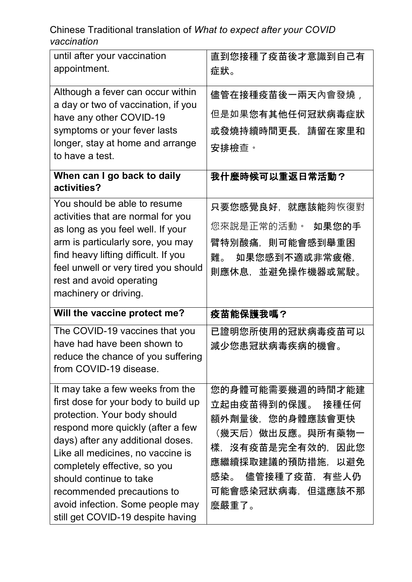| until after your vaccination<br>appointment.                                                                                                                                                                                                             | 直到您接種了疫苗後才意識到自己有<br>症狀。                                                                            |
|----------------------------------------------------------------------------------------------------------------------------------------------------------------------------------------------------------------------------------------------------------|----------------------------------------------------------------------------------------------------|
| Although a fever can occur within<br>a day or two of vaccination, if you<br>have any other COVID-19<br>symptoms or your fever lasts<br>longer, stay at home and arrange<br>to have a test.                                                               | 儘管在接種疫苗後一兩天內會發燒 <i>,</i><br>但是如果您有其他任何冠狀病毒症狀<br>或發燒持續時間更長,請留在家里和<br>安排檢查。                          |
| When can I go back to daily<br>activities?                                                                                                                                                                                                               | 我什麼時候可以重返日常活動?                                                                                     |
| You should be able to resume<br>activities that are normal for you<br>as long as you feel well. If your<br>arm is particularly sore, you may<br>find heavy lifting difficult. If you<br>feel unwell or very tired you should<br>rest and avoid operating | 只要您感覺良好,就應該能夠恢復對<br>您來說是正常的活動。 如果您的手<br>臂特別酸痛,則可能會感到舉重困<br>難。<br>如果您感到不適或非常疲倦,<br>則應休息,並避免操作機器或駕駛。 |
| machinery or driving.                                                                                                                                                                                                                                    |                                                                                                    |
| Will the vaccine protect me?                                                                                                                                                                                                                             | 疫苗能保護我嗎?                                                                                           |
| The COVID-19 vaccines that you<br>have had have been shown to<br>reduce the chance of you suffering<br>from COVID-19 disease.                                                                                                                            | 已證明您所使用的冠狀病毒疫苗可以<br>減少您患冠狀病毒疾病的機會。                                                                 |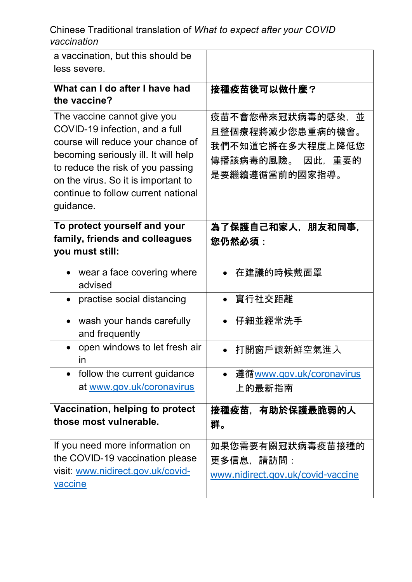| a vaccination, but this should be<br>less severe.                                                                                                                                                                                                                          |                                                                                                    |
|----------------------------------------------------------------------------------------------------------------------------------------------------------------------------------------------------------------------------------------------------------------------------|----------------------------------------------------------------------------------------------------|
| What can I do after I have had<br>the vaccine?                                                                                                                                                                                                                             | 接種疫苗後可以做什麼?                                                                                        |
| The vaccine cannot give you<br>COVID-19 infection, and a full<br>course will reduce your chance of<br>becoming seriously ill. It will help<br>to reduce the risk of you passing<br>on the virus. So it is important to<br>continue to follow current national<br>guidance. | 疫苗不會您帶來冠狀病毒的感染,<br>並<br>且整個療程將減少您患重病的機會。<br>我們不知道它將在多大程度上降低您<br>傳播該病毒的風險。 因此,重要的<br>是要繼續遵循當前的國家指導。 |
| To protect yourself and your<br>family, friends and colleagues<br>you must still:                                                                                                                                                                                          | 為了保護自己和家人,朋友和同事,<br>您仍然必須:                                                                         |
| wear a face covering where<br>advised                                                                                                                                                                                                                                      | 在建議的時候戴面罩                                                                                          |
| practise social distancing                                                                                                                                                                                                                                                 | ● 實行社交距離                                                                                           |
| wash your hands carefully<br>and frequently                                                                                                                                                                                                                                | 仔細並經常洗手<br>$\bullet$                                                                               |
| open windows to let fresh air<br>ın                                                                                                                                                                                                                                        | 打開窗戶讓新鮮空氣進入                                                                                        |
| follow the current guidance<br>$\bullet$<br>at www.gov.uk/coronavirus                                                                                                                                                                                                      | <u> 遵循www.gov.uk/coronavirus</u><br>上的最新指南                                                         |
| Vaccination, helping to protect<br>those most vulnerable.                                                                                                                                                                                                                  | 接種疫苗,有助於保護最脆弱的人<br>群。                                                                              |
| If you need more information on<br>the COVID-19 vaccination please<br>visit: www.nidirect.gov.uk/covid-<br><b>vaccine</b>                                                                                                                                                  | 如果您需要有關冠狀病毒疫苗接種的<br>更多信息,請訪問:<br>www.nidirect.gov.uk/covid-vaccine                                 |